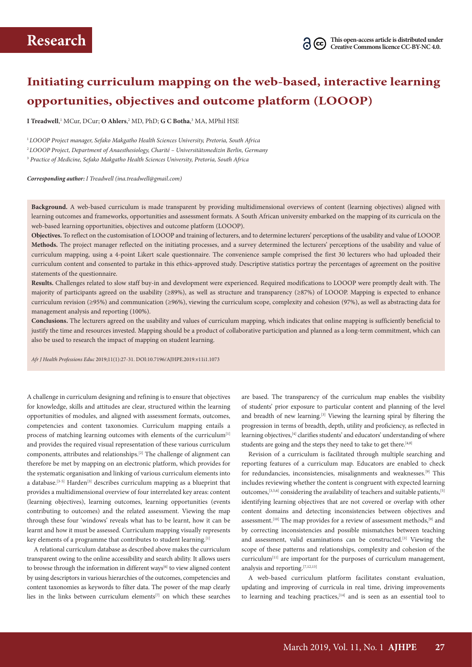## **Initiating curriculum mapping on the web-based, interactive learning opportunities, objectives and outcome platform (LOOOP)**

**I Treadwell**,<sup>1</sup> MCur, DCur; **O Ahlers**,<sup>2</sup> MD, PhD; **G C Botha**,<sup>3</sup> MA, MPhil HSE

<sup>1</sup>*LOOOP Project manager, Sefako Makgatho Health Sciences University, Pretoria, South Africa* <sup>2</sup> *LOOOP Project, Department of Anaesthesiology, Charité – Universitätsmedizin Berlin, Germany* <sup>3</sup> *Practice of Medicine, Sefako Makgatho Health Sciences University, Pretoria, South Africa*

*Corresponding author: I Treadwell (ina.treadwell@gmail.com)*

**Background.** A web-based curriculum is made transparent by providing multidimensional overviews of content (learning objectives) aligned with learning outcomes and frameworks, opportunities and assessment formats. A South African university embarked on the mapping of its curricula on the web-based learning opportunities, objectives and outcome platform (LOOOP).

**Objectives.** To reflect on the customisation of LOOOP and training of lecturers, and to determine lecturers' perceptions of the usability and value of LOOOP. **Methods.** The project manager reflected on the initiating processes, and a survey determined the lecturers' perceptions of the usability and value of curriculum mapping, using a 4-point Likert scale questionnaire. The convenience sample comprised the first 30 lecturers who had uploaded their curriculum content and consented to partake in this ethics-approved study. Descriptive statistics portray the percentages of agreement on the positive statements of the questionnaire.

**Results.** Challenges related to slow staff buy-in and development were experienced. Required modifications to LOOOP were promptly dealt with. The majority of participants agreed on the usability (≥89%), as well as structure and transparency (≥87%) of LOOOP. Mapping is expected to enhance curriculum revision (≥95%) and communication (≥96%), viewing the curriculum scope, complexity and cohesion (97%), as well as abstracting data for management analysis and reporting (100%).

**Conclusions.** The lecturers agreed on the usability and values of curriculum mapping, which indicates that online mapping is sufficiently beneficial to justify the time and resources invested. Mapping should be a product of collaborative participation and planned as a long-term commitment, which can also be used to research the impact of mapping on student learning.

*Afr J Health Professions Educ* 2019;11(1):27-31. DOI:10.7196/AJHPE.2019.v11i1.1073

A challenge in curriculum designing and refining is to ensure that objectives for knowledge, skills and attitudes are clear, structured within the learning opportunities of modules, and aligned with assessment formats, outcomes, competencies and content taxonomies. Curriculum mapping entails a process of matching learning outcomes with elements of the curriculum<sup>[1]</sup> and provides the required visual representation of these various curriculum components, attributes and relationships.[2] The challenge of alignment can therefore be met by mapping on an electronic platform, which provides for the systematic organisation and linking of various curriculum elements into a database.<sup>[3-5]</sup> Harden<sup>[3]</sup> describes curriculum mapping as a blueprint that provides a multidimensional overview of four interrelated key areas: content (learning objectives), learning outcomes, learning opportunities (events contributing to outcomes) and the related assessment. Viewing the map through these four 'windows' reveals what has to be learnt, how it can be learnt and how it must be assessed. Curriculum mapping visually represents key elements of a programme that contributes to student learning.<sup>[1]</sup>

A relational curriculum database as described above makes the curriculum transparent owing to the online accessibility and search ability. It allows users to browse through the information in different ways<sup>[6]</sup> to view aligned content by using descriptors in various hierarchies of the outcomes, competencies and content taxonomies as keywords to filter data. The power of the map clearly lies in the links between curriculum elements<sup>[7]</sup> on which these searches

are based. The transparency of the curriculum map enables the visibility of students' prior exposure to particular content and planning of the level and breadth of new learning.[3] Viewing the learning spiral by filtering the progression in terms of breadth, depth, utility and proficiency, as reflected in learning objectives,<sup>[4]</sup> clarifies students' and educators' understanding of where students are going and the steps they need to take to get there.<sup>[4,8]</sup>

Revision of a curriculum is facilitated through multiple searching and reporting features of a curriculum map. Educators are enabled to check for redundancies, inconsistencies, misalignments and weaknesses.[9] This includes reviewing whether the content is congruent with expected learning outcomes,<sup>[3,5,6]</sup> considering the availability of teachers and suitable patients,<sup>[5]</sup> identifying learning objectives that are not covered or overlap with other content domains and detecting inconsistencies between objectives and assessment.<sup>[10]</sup> The map provides for a review of assessment methods,<sup>[9]</sup> and by correcting inconsistencies and possible mismatches between teaching and assessment, valid examinations can be constructed.<sup>[3]</sup> Viewing the scope of these patterns and relationships, complexity and cohesion of the curriculum<sup>[11]</sup> are important for the purposes of curriculum management, analysis and reporting.[7,12,13]

A web-based curriculum platform facilitates constant evaluation, updating and improving of curricula in real time, driving improvements to learning and teaching practices, [14] and is seen as an essential tool to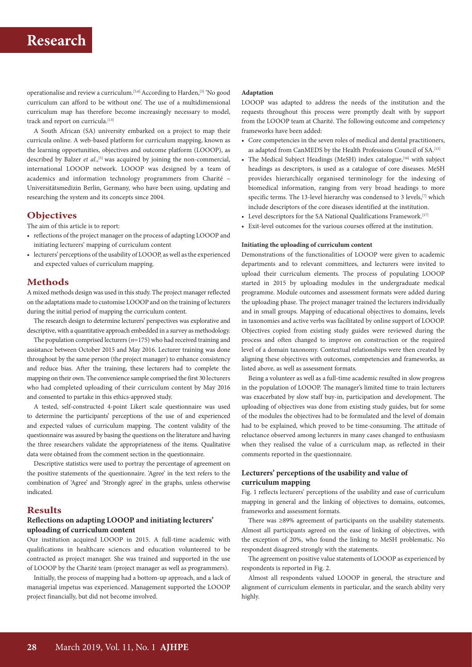operationalise and review a curriculum.[5,6] According to Harden,[3] 'No good curriculum can afford to be without one'. The use of a multidimensional curriculum map has therefore become increasingly necessary to model, track and report on curricula.<sup>[13]</sup>

A South African (SA) university embarked on a project to map their curricula online. A web-based platform for curriculum mapping, known as the learning opportunities, objectives and outcome platform (LOOOP), as described by Balzer *et al.*,<sup>[5]</sup> was acquired by joining the non-commercial, international LOOOP network. LOOOP was designed by a team of academics and information technology programmers from Charité – Universitätsmedizin Berlin, Germany, who have been using, updating and researching the system and its concepts since 2004.

### **Objectives**

The aim of this article is to report:

- reflections of the project manager on the process of adapting LOOOP and initiating lecturers' mapping of curriculum content
- lecturers' perceptions of the usability of LOOOP, as well as the experienced and expected values of curriculum mapping.

#### **Methods**

A mixed methods design was used in this study. The project manager reflected on the adaptations made to customise LOOOP and on the training of lecturers during the initial period of mapping the curriculum content.

The research design to determine lecturers' perspectives was explorative and descriptive, with a quantitative approach embedded in a survey as methodology.

The population comprised lecturers (*n*=175) who had received training and assistance between October 2015 and May 2016. Lecturer training was done throughout by the same person (the project manager) to enhance consistency and reduce bias. After the training, these lecturers had to complete the mapping on their own. The convenience sample comprised the first 30 lecturers who had completed uploading of their curriculum content by May 2016 and consented to partake in this ethics-approved study.

A tested, self-constructed 4-point Likert scale questionnaire was used to determine the participants' perceptions of the use of and experienced and expected values of curriculum mapping. The content validity of the questionnaire was assured by basing the questions on the literature and having the three researchers validate the appropriateness of the items. Qualitative data were obtained from the comment section in the questionnaire.

Descriptive statistics were used to portray the percentage of agreement on the positive statements of the questionnaire. 'Agree' in the text refers to the combination of 'Agree' and 'Strongly agree' in the graphs, unless otherwise indicated.

### **Results**

### **Reflections on adapting LOOOP and initiating lecturers' uploading of curriculum content**

Our institution acquired LOOOP in 2015. A full-time academic with qualifications in healthcare sciences and education volunteered to be contracted as project manager. She was trained and supported in the use of LOOOP by the Charité team (project manager as well as programmers).

Initially, the process of mapping had a bottom-up approach, and a lack of managerial impetus was experienced. Management supported the LOOOP project financially, but did not become involved.

#### **Adaptation**

LOOOP was adapted to address the needs of the institution and the requests throughout this process were promptly dealt with by support from the LOOOP team at Charité. The following outcome and competency frameworks have been added:

- Core competencies in the seven roles of medical and dental practitioners, as adapted from CanMEDS by the Health Professions Council of SA.<sup>[15]</sup>
- The Medical Subject Headings (MeSH) index catalogue,<sup>[16]</sup> with subject headings as descriptors, is used as a catalogue of core diseases. MeSH provides hierarchically organised terminology for the indexing of biomedical information, ranging from very broad headings to more specific terms. The 13-level hierarchy was condensed to 3 levels,<sup>[7]</sup> which include descriptors of the core diseases identified at the institution.
- Level descriptors for the SA National Qualifications Framework.<sup>[17]</sup>
- Exit-level outcomes for the various courses offered at the institution.

#### **Initiating the uploading of curriculum content**

Demonstrations of the functionalities of LOOOP were given to academic departments and to relevant committees, and lecturers were invited to upload their curriculum elements. The process of populating LOOOP started in 2015 by uploading modules in the undergraduate medical programme. Module outcomes and assessment formats were added during the uploading phase. The project manager trained the lecturers individually and in small groups. Mapping of educational objectives to domains, levels in taxonomies and active verbs was facilitated by online support of LOOOP. Objectives copied from existing study guides were reviewed during the process and often changed to improve on construction or the required level of a domain taxonomy. Contextual relationships were then created by aligning these objectives with outcomes, competencies and frameworks, as listed above, as well as assessment formats.

Being a volunteer as well as a full-time academic resulted in slow progress in the population of LOOOP. The manager's limited time to train lecturers was exacerbated by slow staff buy-in, participation and development. The uploading of objectives was done from existing study guides, but for some of the modules the objectives had to be formulated and the level of domain had to be explained, which proved to be time-consuming. The attitude of reluctance observed among lecturers in many cases changed to enthusiasm when they realised the value of a curriculum map, as reflected in their comments reported in the questionnaire.

### **Lecturers' perceptions of the usability and value of curriculum mapping**

Fig. 1 reflects lecturers' perceptions of the usability and ease of curriculum mapping in general and the linking of objectives to domains, outcomes, frameworks and assessment formats.

There was ≥89% agreement of participants on the usability statements. Almost all participants agreed on the ease of linking of objectives, with the exception of 20%, who found the linking to MeSH problematic. No respondent disagreed strongly with the statements.

The agreement on positive value statements of LOOOP as experienced by respondents is reported in Fig. 2.

Almost all respondents valued LOOOP in general, the structure and alignment of curriculum elements in particular, and the search ability very highly.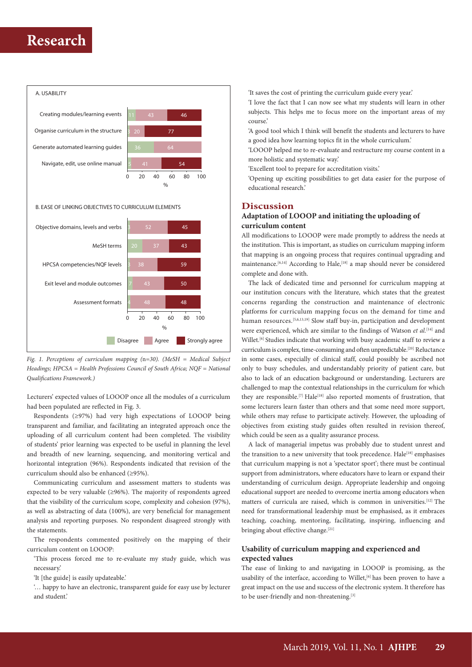

*Fig. 1. Perceptions of curriculum mapping (*n*=30). (MeSH = Medical Subject Headings; HPCSA = Health Professions Council of South Africa; NQF = National Qualifications Framework.)*

Lecturers' expected values of LOOOP once all the modules of a curriculum had been populated are reflected in Fig. 3.

Respondents (≥97%) had very high expectations of LOOOP being transparent and familiar, and facilitating an integrated approach once the uploading of all curriculum content had been completed. The visibility of students' prior learning was expected to be useful in planning the level and breadth of new learning, sequencing, and monitoring vertical and horizontal integration (96%). Respondents indicated that revision of the curriculum should also be enhanced (≥95%).

Communicating curriculum and assessment matters to students was expected to be very valuable ( $\geq 96\%$ ). The majority of respondents agreed that the visibility of the curriculum scope, complexity and cohesion (97%), as well as abstracting of data (100%), are very beneficial for management analysis and reporting purposes. No respondent disagreed strongly with the statements.

The respondents commented positively on the mapping of their curriculum content on LOOOP:

'This process forced me to re-evaluate my study guide, which was necessary.'

'It [the guide] is easily updateable.'

'… happy to have an electronic, transparent guide for easy use by lecturer and student.'

'It saves the cost of printing the curriculum guide every year.'

'I love the fact that I can now see what my students will learn in other subjects. This helps me to focus more on the important areas of my course.'

'A good tool which I think will benefit the students and lecturers to have a good idea how learning topics fit in the whole curriculum.'

'LOOOP helped me to re-evaluate and restructure my course content in a more holistic and systematic way.'

'Excellent tool to prepare for accreditation visits.'

'Opening up exciting possibilities to get data easier for the purpose of educational research.'

### **Discussion**

### **Adaptation of LOOOP and initiating the uploading of curriculum content**

All modifications to LOOOP were made promptly to address the needs at the institution. This is important, as studies on curriculum mapping inform that mapping is an ongoing process that requires continual upgrading and maintenance.<sup>[6,14]</sup> According to Hale,<sup>[18]</sup> a map should never be considered complete and done with.

The lack of dedicated time and personnel for curriculum mapping at our institution concurs with the literature, which states that the greatest concerns regarding the construction and maintenance of electronic platforms for curriculum mapping focus on the demand for time and human resources.<sup>[5,6,13,19]</sup> Slow staff buy-in, participation and development were experienced, which are similar to the findings of Watson et al.<sup>[14]</sup> and Willet.<sup>[6]</sup> Studies indicate that working with busy academic staff to review a curriculum is complex, time-consuming and often unpredictable.<sup>[20]</sup> Reluctance in some cases, especially of clinical staff, could possibly be ascribed not only to busy schedules, and understandably priority of patient care, but also to lack of an education background or understanding. Lecturers are challenged to map the contextual relationships in the curriculum for which they are responsible.<sup>[7]</sup> Hale<sup>[18]</sup> also reported moments of frustration, that some lecturers learn faster than others and that some need more support, while others may refuse to participate actively. However, the uploading of objectives from existing study guides often resulted in revision thereof, which could be seen as a quality assurance process.

A lack of managerial impetus was probably due to student unrest and the transition to a new university that took precedence. Hale<sup>[18]</sup> emphasises that curriculum mapping is not a 'spectator sport'; there must be continual support from administrators, where educators have to learn or expand their understanding of curriculum design. Appropriate leadership and ongoing educational support are needed to overcome inertia among educators when matters of curricula are raised, which is common in universities.[12] The need for transformational leadership must be emphasised, as it embraces teaching, coaching, mentoring, facilitating, inspiring, influencing and bringing about effective change.<sup>[21]</sup>

### **Usability of curriculum mapping and experienced and expected values**

The ease of linking to and navigating in LOOOP is promising, as the usability of the interface, according to Willet, $[6]$  has been proven to have a great impact on the use and success of the electronic system. It therefore has to be user-friendly and non-threatening.<sup>[3]</sup>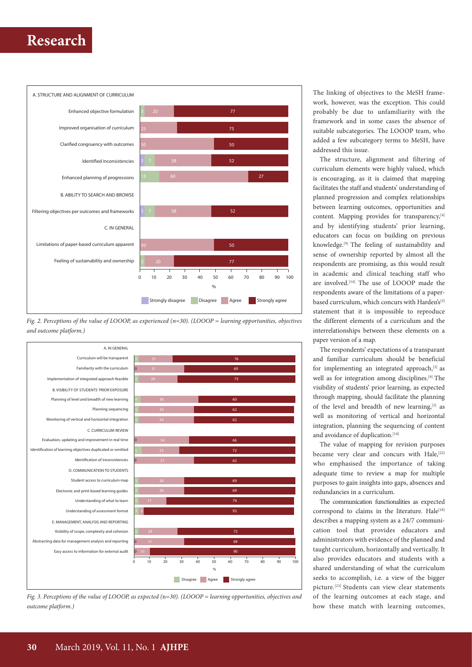

*Fig. 2. Perceptions of the value of LOOOP, as experienced (n=30). (LOOOP = learning opportunities, objectives and outcome platform.)*





The linking of objectives to the MeSH framework, however, was the exception. This could probably be due to unfamiliarity with the framework and in some cases the absence of suitable subcategories. The LOOOP team, who added a few subcategory terms to MeSH, have addressed this issue.

The structure, alignment and filtering of curriculum elements were highly valued, which is encouraging, as it is claimed that mapping facilitates the staff and students' understanding of planned progression and complex relationships between learning outcomes, opportunities and content. Mapping provides for transparency,<sup>[4]</sup> and by identifying students' prior learning, educators can focus on building on previous knowledge.[9] The feeling of sustainability and sense of ownership reported by almost all the respondents are promising, as this would result in academic and clinical teaching staff who are involved.<sup>[14]</sup> The use of LOOOP made the respondents aware of the limitations of a paperbased curriculum, which concurs with Harden's<sup>[3]</sup> statement that it is impossible to reproduce the different elements of a curriculum and the interrelationships between these elements on a paper version of a map.

The respondents' expectations of a transparant and familiar curriculum should be beneficial for implementing an integrated approach, $[3]$  as well as for integration among disciplines.<sup>[9]</sup> The visibility of students' prior learning, as expected through mapping, should facilitate the planning of the level and breadth of new learning, $[3]$  as well as monitoring of vertical and horizontal integration, planning the sequencing of content and avoidance of duplication.<sup>[14]</sup>

The value of mapping for revision purposes became very clear and concurs with Hale,<sup>[22]</sup> who emphasised the importance of taking adequate time to review a map for multiple purposes to gain insights into gaps, absences and redundancies in a curriculum.

The communication functionalities as expected correspond to claims in the literature.  $Hale^{[18]}$ describes a mapping system as a 24/7 communication tool that provides educators and administrators with evidence of the planned and taught curriculum, horizontally and vertically. It also provides educators and students with a shared understanding of what the curriculum seeks to accomplish, i.e. a view of the bigger picture.[23] Students can view clear statements of the learning outcomes at each stage, and how these match with learning outcomes,